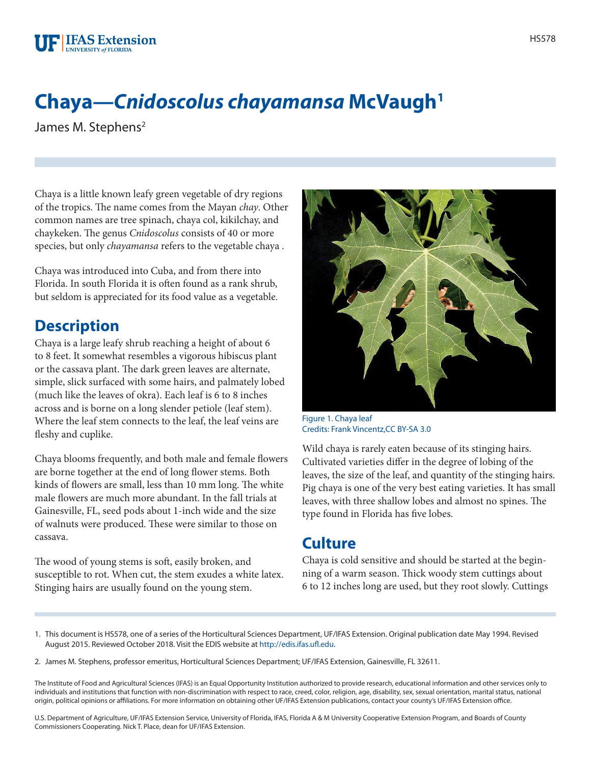## **Chaya—***Cnidoscolus chayamansa* **McVaugh1**

James M. Stephens<sup>2</sup>

Chaya is a little known leafy green vegetable of dry regions of the tropics. The name comes from the Mayan *chay*. Other common names are tree spinach, chaya col, kikilchay, and chaykeken. The genus *Cnidoscolus* consists of 40 or more species, but only *chayamansa* refers to the vegetable chaya .

Chaya was introduced into Cuba, and from there into Florida. In south Florida it is often found as a rank shrub, but seldom is appreciated for its food value as a vegetable.

## **Description**

Chaya is a large leafy shrub reaching a height of about 6 to 8 feet. It somewhat resembles a vigorous hibiscus plant or the cassava plant. The dark green leaves are alternate, simple, slick surfaced with some hairs, and palmately lobed (much like the leaves of okra). Each leaf is 6 to 8 inches across and is borne on a long slender petiole (leaf stem). Where the leaf stem connects to the leaf, the leaf veins are fleshy and cuplike.

Chaya blooms frequently, and both male and female flowers are borne together at the end of long flower stems. Both kinds of flowers are small, less than 10 mm long. The white male flowers are much more abundant. In the fall trials at Gainesville, FL, seed pods about 1-inch wide and the size of walnuts were produced. These were similar to those on cassava.

The wood of young stems is soft, easily broken, and susceptible to rot. When cut, the stem exudes a white latex. Stinging hairs are usually found on the young stem.



Figure 1. Chaya leaf Credits: Frank Vincentz,[CC BY-SA 3.0](http://creativecommons.org/licenses/by-sa/3.0/)

Wild chaya is rarely eaten because of its stinging hairs. Cultivated varieties differ in the degree of lobing of the leaves, the size of the leaf, and quantity of the stinging hairs. Pig chaya is one of the very best eating varieties. It has small leaves, with three shallow lobes and almost no spines. The type found in Florida has five lobes.

## **Culture**

Chaya is cold sensitive and should be started at the beginning of a warm season. Thick woody stem cuttings about 6 to 12 inches long are used, but they root slowly. Cuttings

U.S. Department of Agriculture, UF/IFAS Extension Service, University of Florida, IFAS, Florida A & M University Cooperative Extension Program, and Boards of County Commissioners Cooperating. Nick T. Place, dean for UF/IFAS Extension.

<sup>1.</sup> This document is HS578, one of a series of the Horticultural Sciences Department, UF/IFAS Extension. Original publication date May 1994. Revised August 2015. Reviewed October 2018. Visit the EDIS website at [http://edis.ifas.ufl.edu.](http://edis.ifas.ufl.edu)

<sup>2.</sup> James M. Stephens, professor emeritus, Horticultural Sciences Department; UF/IFAS Extension, Gainesville, FL 32611.

The Institute of Food and Agricultural Sciences (IFAS) is an Equal Opportunity Institution authorized to provide research, educational information and other services only to individuals and institutions that function with non-discrimination with respect to race, creed, color, religion, age, disability, sex, sexual orientation, marital status, national origin, political opinions or affiliations. For more information on obtaining other UF/IFAS Extension publications, contact your county's UF/IFAS Extension office.